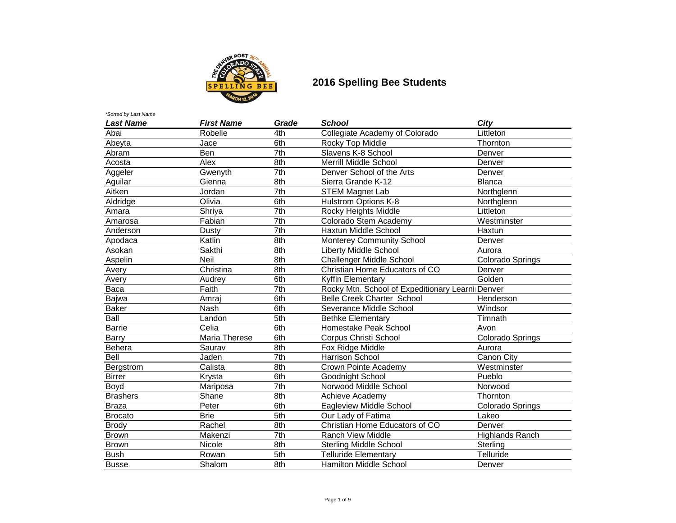

| <b>Last Name</b> | <b>First Name</b> | Grade             | <b>School</b>                                     | City                   |
|------------------|-------------------|-------------------|---------------------------------------------------|------------------------|
| Abai             | Robelle           | 4th               | Collegiate Academy of Colorado                    | Littleton              |
| Abeyta           | Jace              | 6th               | Rocky Top Middle                                  | Thornton               |
| Abram            | Ben               | 7th               | Slavens K-8 School                                | Denver                 |
| Acosta           | Alex              | 8th               | <b>Merrill Middle School</b>                      | Denver                 |
| Aggeler          | Gwenyth           | 7th               | Denver School of the Arts                         | Denver                 |
| Aguilar          | Gienna            | 8th               | Sierra Grande K-12                                | <b>Blanca</b>          |
| Aitken           | Jordan            | 7th               | <b>STEM Magnet Lab</b>                            | Northglenn             |
| Aldridge         | Olivia            | 6th               | <b>Hulstrom Options K-8</b>                       | Northglenn             |
| Amara            | Shriya            | $\overline{7}$ th | Rocky Heights Middle                              | Littleton              |
| Amarosa          | Fabian            | $\overline{7}$ th | Colorado Stem Academy                             | Westminster            |
| Anderson         | <b>Dusty</b>      | 7th               | Haxtun Middle School                              | Haxtun                 |
| Apodaca          | Katlin            | 8th               | <b>Monterey Community School</b>                  | Denver                 |
| Asokan           | Sakthi            | 8th               | <b>Liberty Middle School</b>                      | Aurora                 |
| Aspelin          | <b>Neil</b>       | 8th               | Challenger Middle School                          | Colorado Springs       |
| Avery            | Christina         | 8th               | Christian Home Educators of CO                    | Denver                 |
| Avery            | Audrey            | 6th               | Kyffin Elementary                                 | Golden                 |
| Baca             | Faith             | 7th               | Rocky Mtn. School of Expeditionary Learnii Denver |                        |
| Bajwa            | Amraj             | 6th               | <b>Belle Creek Charter School</b>                 | Henderson              |
| <b>Baker</b>     | Nash              | 6th               | Severance Middle School                           | Windsor                |
| Ball             | Landon            | 5th               | <b>Bethke Elementary</b>                          | Timnath                |
| <b>Barrie</b>    | Celia             | 6th               | Homestake Peak School                             | Avon                   |
| Barry            | Maria Therese     | 6th               | Corpus Christi School                             | Colorado Springs       |
| Behera           | Saurav            | 8th               | Fox Ridge Middle                                  | Aurora                 |
| Bell             | Jaden             | $\overline{7}$ th | <b>Harrison School</b>                            | Canon City             |
| Bergstrom        | Calista           | 8th               | Crown Pointe Academy                              | Westminster            |
| <b>Birrer</b>    | Krysta            | 6th               | Goodnight School                                  | Pueblo                 |
| Boyd             | Mariposa          | 7th               | Norwood Middle School                             | Norwood                |
| <b>Brashers</b>  | Shane             | 8th               | Achieve Academy                                   | Thornton               |
| <b>Braza</b>     | Peter             | 6th               | Eagleview Middle School                           | Colorado Springs       |
| <b>Brocato</b>   | <b>Brie</b>       | 5th               | Our Lady of Fatima                                | Lakeo                  |
| <b>Brody</b>     | Rachel            | 8th               | Christian Home Educators of CO                    | Denver                 |
| <b>Brown</b>     | Makenzi           | 7th               | <b>Ranch View Middle</b>                          | <b>Highlands Ranch</b> |
| Brown            | Nicole            | 8th               | <b>Sterling Middle School</b>                     | Sterling               |
| <b>Bush</b>      | Rowan             | 5th               | <b>Telluride Elementary</b>                       | Telluride              |
| <b>Busse</b>     | Shalom            | 8th               | Hamilton Middle School                            | Denver                 |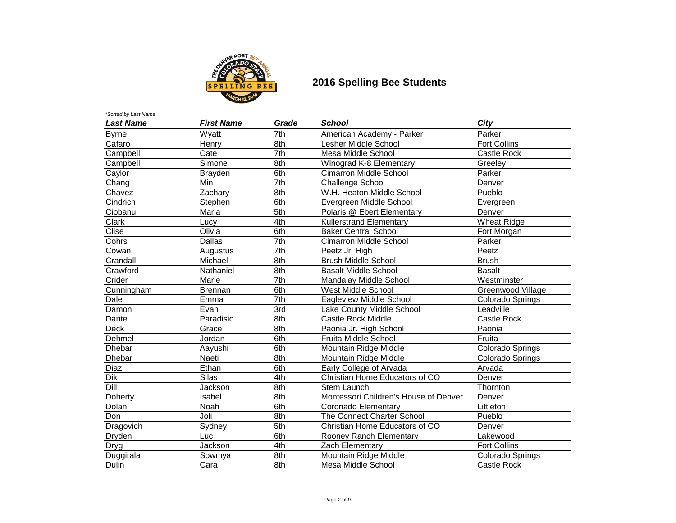

| <b>Last Name</b> | <b>First Name</b> | Grade             | <b>School</b>                         | City                |
|------------------|-------------------|-------------------|---------------------------------------|---------------------|
| <b>Byrne</b>     | Wyatt             | 7th               | American Academy - Parker             | Parker              |
| Cafaro           | Henry             | 8th               | Lesher Middle School                  | <b>Fort Collins</b> |
| Campbell         | Cate              | 7th               | Mesa Middle School                    | <b>Castle Rock</b>  |
| Campbell         | Simone            | 8th               | Winograd K-8 Elementary               | Greeley             |
| Caylor           | Brayden           | 6th               | <b>Cimarron Middle School</b>         | Parker              |
| Chang            | Min               | 7th               | <b>Challenge School</b>               | Denver              |
| Chavez           | Zachary           | 8th               | W.H. Heaton Middle School             | Pueblo              |
| Cindrich         | Stephen           | 6th               | Evergreen Middle School               | Evergreen           |
| Ciobanu          | Maria             | 5th               | Polaris @ Ebert Elementary            | Denver              |
| Clark            | Lucy              | 4th               | <b>Kullerstrand Elementary</b>        | <b>Wheat Ridge</b>  |
| Clise            | Olivia            | 6th               | <b>Baker Central School</b>           | Fort Morgan         |
| Cohrs            | Dallas            | $\overline{7}$ th | Cimarron Middle School                | Parker              |
| Cowan            | Augustus          | $\overline{7}$ th | Peetz Jr. High                        | Peetz               |
| Crandall         | Michael           | 8th               | <b>Brush Middle School</b>            | <b>Brush</b>        |
| Crawford         | Nathaniel         | 8th               | <b>Basalt Middle School</b>           | <b>Basalt</b>       |
| Crider           | Marie             | 7th               | Mandalay Middle School                | Westminster         |
| Cunningham       | Brennan           | 6th               | West Middle School                    | Greenwood Village   |
| Dale             | Emma              | 7th               | Eagleview Middle School               | Colorado Springs    |
| Damon            | Evan              | $\overline{3rd}$  | Lake County Middle School             | Leadville           |
| Dante            | Paradisio         | 8th               | <b>Castle Rock Middle</b>             | <b>Castle Rock</b>  |
| Deck             | Grace             | 8th               | Paonia Jr. High School                | Paonia              |
| Dehmel           | Jordan            | 6th               | Fruita Middle School                  | Fruita              |
| Dhebar           | Aayushi           | 6th               | Mountain Ridge Middle                 | Colorado Springs    |
| Dhebar           | Naeti             | 8th               | Mountain Ridge Middle                 | Colorado Springs    |
| <b>Diaz</b>      | Ethan             | 6th               | Early College of Arvada               | Arvada              |
| Dik              | <b>Silas</b>      | 4th               | Christian Home Educators of CO        | Denver              |
| Dill             | Jackson           | 8th               | <b>Stem Launch</b>                    | Thornton            |
| Doherty          | Isabel            | 8th               | Montessori Children's House of Denver | Denver              |
| <b>Dolan</b>     | Noah              | 6th               | Coronado Elementary                   | Littleton           |
| Don              | Joli              | 8th               | The Connect Charter School            | Pueblo              |
| Dragovich        | Sydney            | 5th               | Christian Home Educators of CO        | Denver              |
| Dryden           | Luc               | 6th               | Rooney Ranch Elementary               | Lakewood            |
| <b>Dryg</b>      | Jackson           | 4th               | Zach Elementary                       | <b>Fort Collins</b> |
| Duggirala        | Sowmya            | 8th               | Mountain Ridge Middle                 | Colorado Springs    |
| <b>Dulin</b>     | Cara              | 8th               | Mesa Middle School                    | Castle Rock         |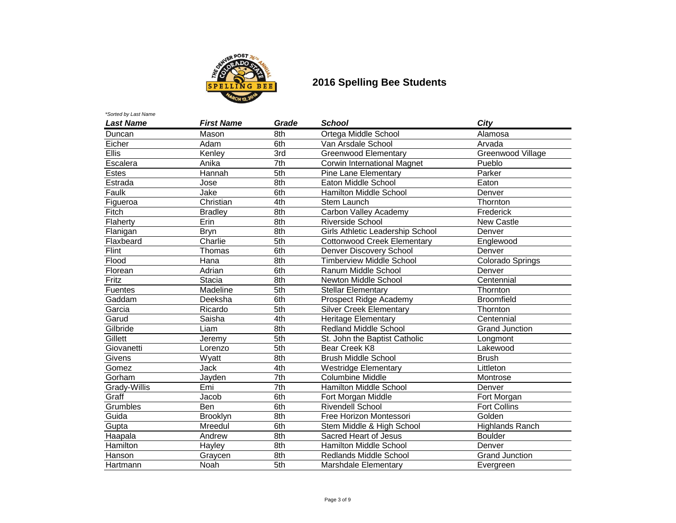

| <b>Last Name</b> | <b>First Name</b> | Grade | <b>School</b>                      | City                   |
|------------------|-------------------|-------|------------------------------------|------------------------|
| Duncan           | Mason             | 8th   | Ortega Middle School               | Alamosa                |
| Eicher           | Adam              | 6th   | Van Arsdale School                 | Arvada                 |
| <b>Ellis</b>     | Kenley            | 3rd   | <b>Greenwood Elementary</b>        | Greenwood Village      |
| Escalera         | Anika             | 7th   | <b>Corwin International Magnet</b> | Pueblo                 |
| <b>Estes</b>     | Hannah            | 5th   | <b>Pine Lane Elementary</b>        | Parker                 |
| Estrada          | Jose              | 8th   | Eaton Middle School                | Eaton                  |
| Faulk            | Jake              | 6th   | <b>Hamilton Middle School</b>      | Denver                 |
| Figueroa         | Christian         | 4th   | Stem Launch                        | Thornton               |
| Fitch            | <b>Bradley</b>    | 8th   | Carbon Valley Academy              | Frederick              |
| Flaherty         | Erin              | 8th   | <b>Riverside School</b>            | <b>New Castle</b>      |
| Flanigan         | <b>Bryn</b>       | 8th   | Girls Athletic Leadership School   | Denver                 |
| Flaxbeard        | Charlie           | 5th   | <b>Cottonwood Creek Elementary</b> | Englewood              |
| Flint            | Thomas            | 6th   | Denver Discovery School            | Denver                 |
| Flood            | Hana              | 8th   | Timberview Middle School           | Colorado Springs       |
| Florean          | Adrian            | 6th   | Ranum Middle School                | Denver                 |
| Fritz            | <b>Stacia</b>     | 8th   | Newton Middle School               | Centennial             |
| <b>Fuentes</b>   | Madeline          | 5th   | Stellar Elementary                 | Thornton               |
| Gaddam           | Deeksha           | 6th   | Prospect Ridge Academy             | <b>Broomfield</b>      |
| Garcia           | Ricardo           | 5th   | <b>Silver Creek Elementary</b>     | Thornton               |
| Garud            | Saisha            | 4th   | Heritage Elementary                | Centennial             |
| Gilbride         | Liam              | 8th   | <b>Redland Middle School</b>       | <b>Grand Junction</b>  |
| Gillett          | Jeremy            | 5th   | St. John the Baptist Catholic      | Longmont               |
| Giovanetti       | Lorenzo           | 5th   | Bear Creek K8                      | Lakewood               |
| Givens           | Wyatt             | 8th   | <b>Brush Middle School</b>         | <b>Brush</b>           |
| Gomez            | <b>Jack</b>       | 4th   | <b>Westridge Elementary</b>        | Littleton              |
| Gorham           | Jayden            | 7th   | <b>Columbine Middle</b>            | Montrose               |
| Grady-Willis     | Emi               | 7th   | <b>Hamilton Middle School</b>      | Denver                 |
| Graff            | Jacob             | 6th   | Fort Morgan Middle                 | Fort Morgan            |
| Grumbles         | Ben               | 6th   | <b>Rivendell School</b>            | <b>Fort Collins</b>    |
| Guida            | <b>Brooklyn</b>   | 8th   | Free Horizon Montessori            | Golden                 |
| Gupta            | Mreedul           | 6th   | Stem Middle & High School          | <b>Highlands Ranch</b> |
| Haapala          | Andrew            | 8th   | Sacred Heart of Jesus              | <b>Boulder</b>         |
| Hamilton         | Hayley            | 8th   | Hamilton Middle School             | Denver                 |
| Hanson           | Graycen           | 8th   | Redlands Middle School             | <b>Grand Junction</b>  |
| Hartmann         | Noah              | 5th   | Marshdale Elementary               | Evergreen              |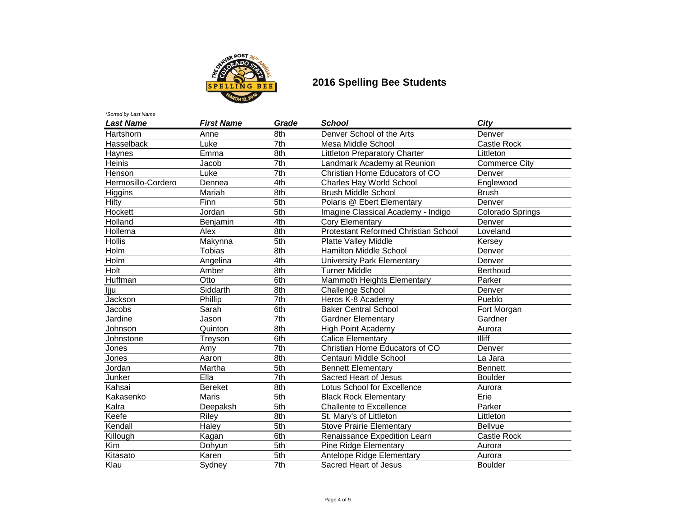

| <b>Last Name</b>   | <b>First Name</b> | Grade             | <b>School</b>                        | City                 |
|--------------------|-------------------|-------------------|--------------------------------------|----------------------|
| Hartshorn          | Anne              | 8th               | Denver School of the Arts            | Denver               |
| Hasselback         | Luke              | $\overline{7}$ th | Mesa Middle School                   | <b>Castle Rock</b>   |
| Haynes             | Emma              | 8th               | <b>Littleton Preparatory Charter</b> | Littleton            |
| Heinis             | Jacob             | 7th               | Landmark Academy at Reunion          | <b>Commerce City</b> |
| Henson             | Luke              | $\overline{7}$ th | Christian Home Educators of CO       | Denver               |
| Hermosillo-Cordero | Dennea            | 4th               | <b>Charles Hay World School</b>      | Englewood            |
| Higgins            | Mariah            | 8th               | <b>Brush Middle School</b>           | <b>Brush</b>         |
| Hilty              | Finn              | 5th               | Polaris @ Ebert Elementary           | Denver               |
| Hockett            | Jordan            | 5th               | Imagine Classical Academy - Indigo   | Colorado Springs     |
| Holland            | Benjamin          | 4th               | Cory Elementary                      | Denver               |
| Hollema            | Alex              | 8th               | Protestant Reformed Christian School | Loveland             |
| <b>Hollis</b>      | Makynna           | 5th               | Platte Valley Middle                 | Kersey               |
| Holm               | <b>Tobias</b>     | 8th               | <b>Hamilton Middle School</b>        | Denver               |
| Holm               | Angelina          | 4th               | University Park Elementary           | Denver               |
| Holt               | Amber             | 8th               | <b>Turner Middle</b>                 | <b>Berthoud</b>      |
| Huffman            | Otto              | 6th               | Mammoth Heights Elementary           | Parker               |
| ljju               | Siddarth          | 8th               | <b>Challenge School</b>              | Denver               |
| Jackson            | Phillip           | 7th               | Heros K-8 Academy                    | Pueblo               |
| Jacobs             | Sarah             | 6th               | <b>Baker Central School</b>          | Fort Morgan          |
| Jardine            | Jason             | $\overline{7}$ th | <b>Gardner Elementary</b>            | Gardner              |
| Johnson            | Quinton           | 8th               | <b>High Point Academy</b>            | Aurora               |
| Johnstone          | Treyson           | 6th               | <b>Calice Elementary</b>             | <b>Illiff</b>        |
| Jones              | Amy               | $\overline{7}$ th | Christian Home Educators of CO       | Denver               |
| Jones              | Aaron             | 8th               | Centauri Middle School               | La Jara              |
| Jordan             | Martha            | 5th               | Bennett Elementary                   | <b>Bennett</b>       |
| Junker             | EIIa              | $\overline{7}$ th | Sacred Heart of Jesus                | <b>Boulder</b>       |
| Kahsai             | <b>Bereket</b>    | 8th               | Lotus School for Excellence          | Aurora               |
| Kakasenko          | <b>Maris</b>      | $\overline{5}$ th | <b>Black Rock Elementary</b>         | Erie                 |
| Kalra              | Deepaksh          | 5th               | Challente to Excellence              | Parker               |
| Keefe              | <b>Riley</b>      | 8th               | St. Mary's of Littleton              | Littleton            |
| Kendall            | Haley             | 5th               | <b>Stove Prairie Elementary</b>      | <b>Bellvue</b>       |
| Killough           | Kagan             | 6th               | Renaissance Expedition Learn         | Castle Rock          |
| Kim                | Dohyun            | 5th               | Pine Ridge Elementary                | Aurora               |
| Kitasato           | Karen             | 5th               | Antelope Ridge Elementary            | Aurora               |
| Klau               | Sydney            | $\overline{7}$ th | Sacred Heart of Jesus                | <b>Boulder</b>       |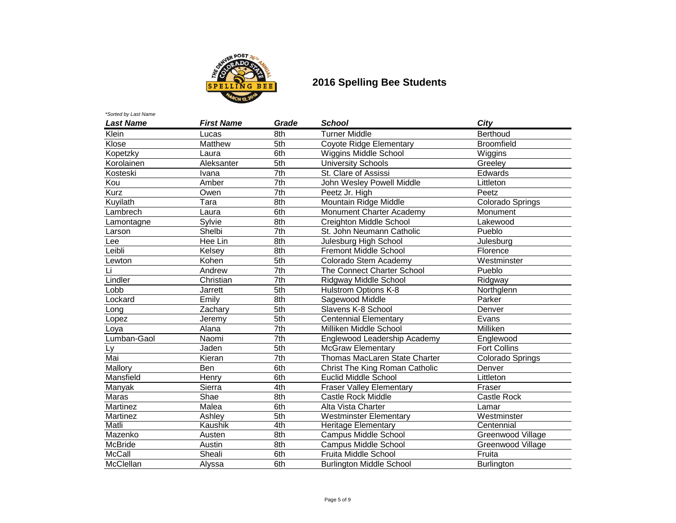

| <b>Last Name</b> | <b>First Name</b> | Grade             | <b>School</b>                   | City                |
|------------------|-------------------|-------------------|---------------------------------|---------------------|
| Klein            | Lucas             | 8th               | <b>Turner Middle</b>            | <b>Berthoud</b>     |
| Klose            | Matthew           | 5th               | Coyote Ridge Elementary         | <b>Broomfield</b>   |
| Kopetzky         | Laura             | 6th               | Wiggins Middle School           | Wiggins             |
| Korolainen       | Aleksanter        | 5th               | <b>University Schools</b>       | Greeley             |
| Kosteski         | Ivana             | 7th               | St. Clare of Assissi            | Edwards             |
| Kou              | Amber             | 7th               | John Wesley Powell Middle       | Littleton           |
| Kurz             | Owen              | $\overline{7}$ th | Peetz Jr. High                  | Peetz               |
| Kuyilath         | Tara              | 8th               | Mountain Ridge Middle           | Colorado Springs    |
| Lambrech         | Laura             | 6th               | Monument Charter Academy        | Monument            |
| Lamontagne       | Sylvie            | 8th               | Creighton Middle School         | Lakewood            |
| Larson           | Shelbi            | $\overline{7}$ th | St. John Neumann Catholic       | Pueblo              |
| Lee              | Hee Lin           | 8th               | Julesburg High School           | Julesburg           |
| Leibli           | Kelsey            | 8th               | <b>Fremont Middle School</b>    | Florence            |
| Lewton           | Kohen             | 5th               | Colorado Stem Academy           | Westminster         |
| Li               | Andrew            | 7th               | The Connect Charter School      | Pueblo              |
| Lindler          | Christian         | $\overline{7}$ th | Ridgway Middle School           | Ridgway             |
| Lobb             | Jarrett           | 5th               | Hulstrom Options K-8            | Northglenn          |
| Lockard          | Emily             | 8th               | Sagewood Middle                 | Parker              |
| Long             | Zachary           | 5th               | Slavens K-8 School              | Denver              |
| Lopez            | Jeremy            | 5th               | <b>Centennial Elementary</b>    | Evans               |
| Loya             | Alana             | $\overline{7}$ th | Milliken Middle School          | Milliken            |
| Lumban-Gaol      | Naomi             | $\overline{7}$ th | Englewood Leadership Academy    | Englewood           |
| Ly               | Jaden             | 5th               | <b>McGraw Elementary</b>        | <b>Fort Collins</b> |
| Mai              | Kieran            | $\overline{7}$ th | Thomas MacLaren State Charter   | Colorado Springs    |
| Mallory          | Ben               | 6th               | Christ The King Roman Catholic  | Denver              |
| Mansfield        | Henry             | 6th               | <b>Euclid Middle School</b>     | Littleton           |
| Manyak           | Sierra            | 4th               | <b>Fraser Valley Elementary</b> | Fraser              |
| Maras            | Shae              | 8th               | <b>Castle Rock Middle</b>       | Castle Rock         |
| Martinez         | Malea             | 6th               | Alta Vista Charter              | Lamar               |
| Martinez         | Ashley            | 5th               | <b>Westminster Elementary</b>   | Westminster         |
| Matli            | Kaushik           | 4th               | <b>Heritage Elementary</b>      | Centennial          |
| Mazenko          | Austen            | 8th               | Campus Middle School            | Greenwood Village   |
| <b>McBride</b>   | Austin            | 8th               | Campus Middle School            | Greenwood Village   |
| McCall           | Sheali            | 6th               | Fruita Middle School            | Fruita              |
| McClellan        | Alyssa            | 6th               | <b>Burlington Middle School</b> | <b>Burlington</b>   |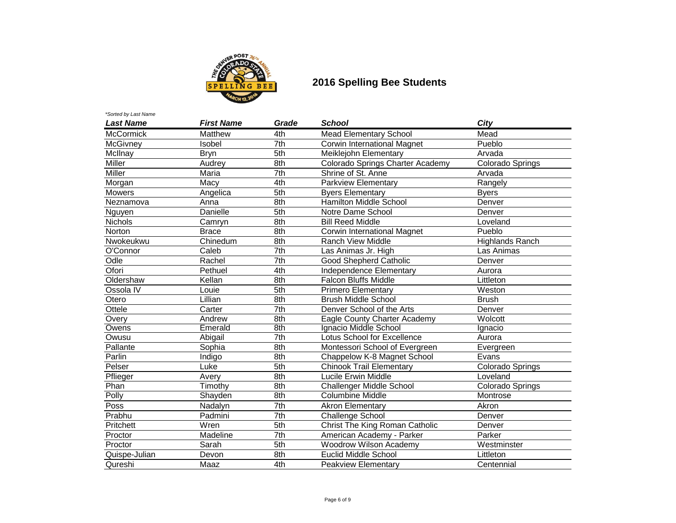

# **EXECUTE:** 2016 Spelling Bee Students

| *Sorted by Last Name |                   |                   |                                    |                        |
|----------------------|-------------------|-------------------|------------------------------------|------------------------|
| <b>Last Name</b>     | <b>First Name</b> | Grade             | <b>School</b>                      | City                   |
| McCormick            | Matthew           | 4th               | <b>Mead Elementary School</b>      | Mead                   |
| McGivney             | Isobel            | $\overline{7}$ th | Corwin International Magnet        | Pueblo                 |
| McIlnay              | <b>Bryn</b>       | 5th               | Meiklejohn Elementary              | Arvada                 |
| Miller               | Audrey            | 8th               | Colorado Springs Charter Academy   | Colorado Springs       |
| Miller               | Maria             | $\overline{7}$ th | Shrine of St. Anne                 | Arvada                 |
| Morgan               | Macy              | 4th               | <b>Parkview Elementary</b>         | Rangely                |
| <b>Mowers</b>        | Angelica          | 5th               | <b>Byers Elementary</b>            | <b>Byers</b>           |
| Neznamova            | Anna              | 8th               | <b>Hamilton Middle School</b>      | Denver                 |
| Nguyen               | Danielle          | 5th               | Notre Dame School                  | Denver                 |
| <b>Nichols</b>       | Camryn            | 8th               | <b>Bill Reed Middle</b>            | Loveland               |
| Norton               | <b>Brace</b>      | 8th               | Corwin International Magnet        | Pueblo                 |
| Nwokeukwu            | Chinedum          | 8th               | <b>Ranch View Middle</b>           | <b>Highlands Ranch</b> |
| O'Connor             | Caleb             | 7th               | Las Animas Jr. High                | Las Animas             |
| Odle                 | Rachel            | 7th               | Good Shepherd Catholic             | Denver                 |
| Ofori                | Pethuel           | 4th               | Independence Elementary            | Aurora                 |
| Oldershaw            | Kellan            | 8th               | <b>Falcon Bluffs Middle</b>        | Littleton              |
| Ossola IV            | Louie             | 5th               | <b>Primero Elementary</b>          | Weston                 |
| Otero                | Lillian           | 8th               | <b>Brush Middle School</b>         | <b>Brush</b>           |
| Ottele               | Carter            | $\overline{7}$ th | Denver School of the Arts          | Denver                 |
| Overy                | Andrew            | 8th               | Eagle County Charter Academy       | Wolcott                |
| Owens                | Emerald           | 8th               | Ignacio Middle School              | Ignacio                |
| Owusu                | Abigail           | 7th               | <b>Lotus School for Excellence</b> | Aurora                 |
| Pallante             | Sophia            | 8th               | Montessori School of Evergreen     | Evergreen              |
| Parlin               | Indigo            | 8th               | Chappelow K-8 Magnet School        | Evans                  |
| Pelser               | Luke              | 5th               | <b>Chinook Trail Elementary</b>    | Colorado Springs       |
| Pflieger             | Avery             | 8th               | Lucile Erwin Middle                | Loveland               |
| Phan                 | Timothy           | 8th               | <b>Challenger Middle School</b>    | Colorado Springs       |
| Polly                | Shayden           | 8th               | <b>Columbine Middle</b>            | Montrose               |
| <b>Poss</b>          | Nadalyn           | 7th               | <b>Akron Elementary</b>            | Akron                  |
| Prabhu               | Padmini           | $\overline{7}$ th | <b>Challenge School</b>            | Denver                 |
| Pritchett            | Wren              | 5th               | Christ The King Roman Catholic     | Denver                 |
| Proctor              | Madeline          | $\overline{7}$ th | American Academy - Parker          | Parker                 |
| Proctor              | Sarah             | 5th               | <b>Woodrow Wilson Academy</b>      | Westminster            |
| Quispe-Julian        | Devon             | 8th               | <b>Euclid Middle School</b>        | Littleton              |
| Qureshi              | Maaz              | 4th               | Peakview Elementary                | Centennial             |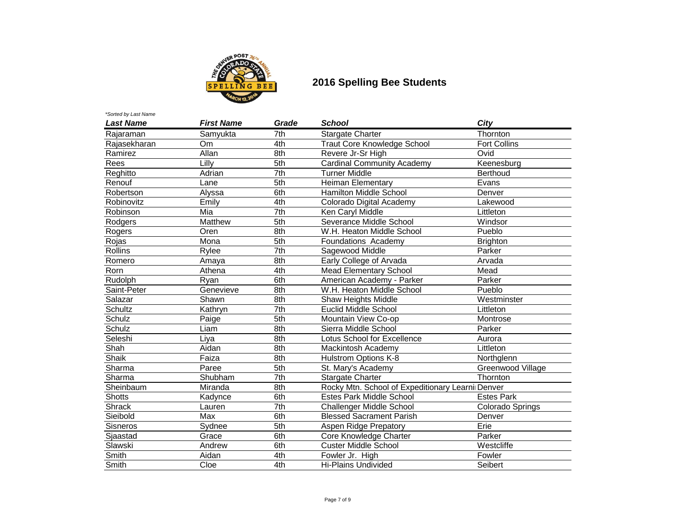

# **EXECUTE:** 2016 Spelling Bee Students

| *Sorted by Last Name |                   |                   |                                                   |                     |
|----------------------|-------------------|-------------------|---------------------------------------------------|---------------------|
| <b>Last Name</b>     | <b>First Name</b> | Grade             | <b>School</b>                                     | City                |
| Rajaraman            | Samyukta          | 7th               | <b>Stargate Charter</b>                           | Thornton            |
| Rajasekharan         | Om.               | 4th               | <b>Traut Core Knowledge School</b>                | <b>Fort Collins</b> |
| Ramirez              | Allan             | 8th               | Revere Jr-Sr High                                 | Ovid                |
| Rees                 | Lilly             | 5th               | <b>Cardinal Community Academy</b>                 | Keenesburg          |
| Reghitto             | Adrian            | 7th               | <b>Turner Middle</b>                              | <b>Berthoud</b>     |
| Renouf               | Lane              | 5th               | <b>Heiman Elementary</b>                          | Evans               |
| Robertson            | Alyssa            | 6th               | Hamilton Middle School                            | Denver              |
| Robinovitz           | Emily             | 4th               | Colorado Digital Academy                          | Lakewood            |
| Robinson             | Mia               | $\overline{7}$ th | Ken Caryl Middle                                  | Littleton           |
| Rodgers              | <b>Matthew</b>    | 5th               | Severance Middle School                           | Windsor             |
| Rogers               | Oren              | 8th               | W.H. Heaton Middle School                         | Pueblo              |
| Rojas                | Mona              | 5th               | Foundations Academy                               | <b>Brighton</b>     |
| <b>Rollins</b>       | Rylee             | 7th               | Sagewood Middle                                   | Parker              |
| Romero               | Amaya             | 8th               | Early College of Arvada                           | Arvada              |
| Rorn                 | Athena            | 4th               | <b>Mead Elementary School</b>                     | Mead                |
| Rudolph              | Ryan              | 6th               | American Academy - Parker                         | Parker              |
| Saint-Peter          | Genevieve         | 8th               | W.H. Heaton Middle School                         | Pueblo              |
| Salazar              | Shawn             | 8th               | Shaw Heights Middle                               | Westminster         |
| Schultz              | Kathryn           | $\overline{7}$ th | <b>Euclid Middle School</b>                       | Littleton           |
| Schulz               | Paige             | 5th               | Mountain View Co-op                               | Montrose            |
| Schulz               | Liam              | 8th               | Sierra Middle School                              | Parker              |
| Seleshi              | Liya              | 8th               | <b>Lotus School for Excellence</b>                | Aurora              |
| Shah                 | Aidan             | 8th               | Mackintosh Academy                                | Littleton           |
| Shaik                | Faiza             | 8th               | Hulstrom Options K-8                              | Northglenn          |
| Sharma               | Paree             | 5th               | St. Mary's Academy                                | Greenwood Village   |
| Sharma               | Shubham           | 7th               | <b>Stargate Charter</b>                           | Thornton            |
| Sheinbaum            | Miranda           | 8th               | Rocky Mtn. School of Expeditionary Learnii Denver |                     |
| <b>Shotts</b>        | Kadynce           | 6th               | <b>Estes Park Middle School</b>                   | <b>Estes Park</b>   |
| <b>Shrack</b>        | Lauren            | 7th               | Challenger Middle School                          | Colorado Springs    |
| Sieibold             | Max               | 6th               | <b>Blessed Sacrament Parish</b>                   | Denver              |
| Sisneros             | Sydnee            | 5th               | Aspen Ridge Prepatory                             | Erie                |
| Sjaastad             | Grace             | 6th               | Core Knowledge Charter                            | Parker              |
| Slawski              | Andrew            | 6th               | <b>Custer Middle School</b>                       | Westcliffe          |
| Smith                | Aidan             | 4th               | Fowler Jr. High                                   | Fowler              |
| Smith                | Cloe              | 4th               | <b>Hi-Plains Undivided</b>                        | Seibert             |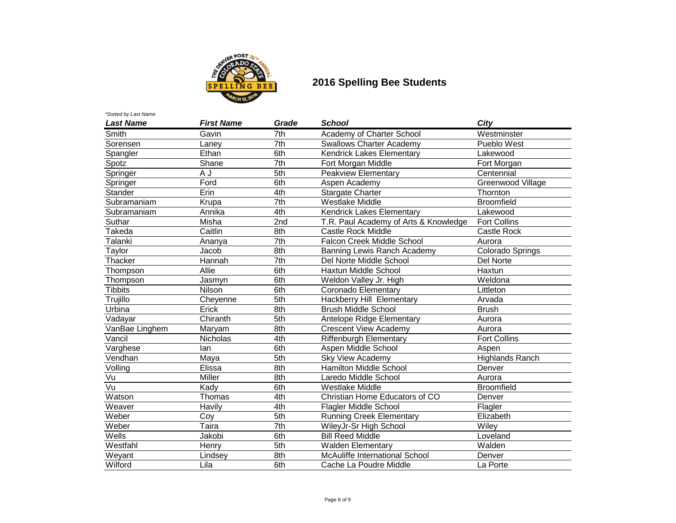

| <b>Last Name</b>     | <b>First Name</b> | Grade             | <b>School</b>                         | City                   |
|----------------------|-------------------|-------------------|---------------------------------------|------------------------|
| Smith                | Gavin             | 7th               | Academy of Charter School             | Westminster            |
| Sorensen             | Laney             | 7th               | <b>Swallows Charter Academy</b>       | Pueblo West            |
| Spangler             | Ethan             | 6th               | Kendrick Lakes Elementary             | Lakewood               |
| Spotz                | Shane             | 7th               | Fort Morgan Middle                    | Fort Morgan            |
| Springer             | A J               | 5th               | <b>Peakview Elementary</b>            | Centennial             |
| Springer             | Ford              | 6th               | Aspen Academy                         | Greenwood Village      |
| Stander              | Erin              | 4th               | <b>Stargate Charter</b>               | Thornton               |
| Subramaniam          | Krupa             | $\overline{7}$ th | <b>Westlake Middle</b>                | <b>Broomfield</b>      |
| Subramaniam          | Annika            | 4th               | Kendrick Lakes Elementary             | Lakewood               |
| Suthar               | Misha             | 2nd               | T.R. Paul Academy of Arts & Knowledge | <b>Fort Collins</b>    |
| Takeda               | Caitlin           | 8th               | Castle Rock Middle                    | Castle Rock            |
| Talanki              | Ananya            | $\overline{7}$ th | Falcon Creek Middle School            | Aurora                 |
| Taylor               | Jacob             | 8th               | Banning Lewis Ranch Academy           | Colorado Springs       |
| Thacker              | Hannah            | $\overline{7}$ th | Del Norte Middle School               | Del Norte              |
| Thompson             | Allie             | 6th               | Haxtun Middle School                  | Haxtun                 |
| Thompson             | Jasmyn            | 6th               | Weldon Valley Jr. High                | Weldona                |
| <b>Tibbits</b>       | Nilson            | 6th               | Coronado Elementary                   | Littleton              |
| Trujillo             | Cheyenne          | 5th               | Hackberry Hill Elementary             | Arvada                 |
| Urbina               | Erick             | 8th               | <b>Brush Middle School</b>            | <b>Brush</b>           |
| Vadayar              | Chiranth          | 5th               | Antelope Ridge Elementary             | Aurora                 |
| VanBae Linghem       | Maryam            | 8th               | <b>Crescent View Academy</b>          | Aurora                 |
| $\overline{V}$ ancil | Nicholas          | 4th               | Riffenburgh Elementary                | <b>Fort Collins</b>    |
| Varghese             | lan               | 6th               | Aspen Middle School                   | Aspen                  |
| Vendhan              | Maya              | 5th               | Sky View Academy                      | <b>Highlands Ranch</b> |
| Volling              | Elissa            | 8th               | Hamilton Middle School                | Denver                 |
| Vu                   | Miller            | 8th               | Laredo Middle School                  | Aurora                 |
| $\overline{Vu}$      | Kady              | 6th               | <b>Westlake Middle</b>                | <b>Broomfield</b>      |
| Watson               | Thomas            | 4th               | Christian Home Educators of CO        | Denver                 |
| Weaver               | Havily            | 4th               | <b>Flagler Middle School</b>          | Flagler                |
| Weber                | Coy               | 5th               | <b>Running Creek Elementary</b>       | Elizabeth              |
| Weber                | Taira             | $\overline{7}$ th | WileyJr-Sr High School                | Wiley                  |
| Wells                | Jakobi            | 6th               | <b>Bill Reed Middle</b>               | Loveland               |
| Westfahl             | Henry             | 5th               | <b>Walden Elementary</b>              | Walden                 |
| Weyant               | Lindsey           | 8th               | McAuliffe International School        | Denver                 |
| Wilford              | Lila              | 6th               | Cache La Poudre Middle                | La Porte               |